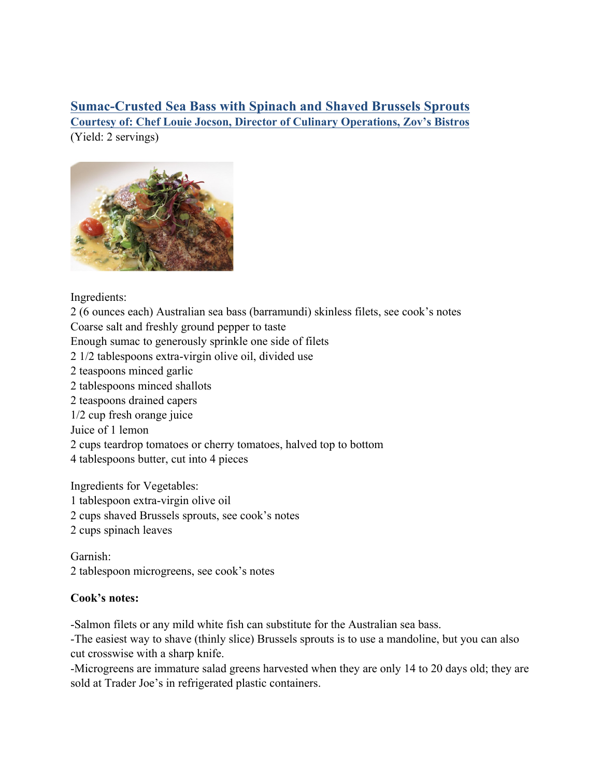**Sumac-Crusted Sea Bass with Spinach and Shaved Brussels Sprouts Courtesy of: Chef Louie Jocson, Director of Culinary Operations, Zov's Bistros**  (Yield: 2 servings)



Ingredients:

2 (6 ounces each) Australian sea bass (barramundi) skinless filets, see cook's notes Coarse salt and freshly ground pepper to taste

Enough sumac to generously sprinkle one side of filets

2 1/2 tablespoons extra-virgin olive oil, divided use

- 2 teaspoons minced garlic
- 2 tablespoons minced shallots
- 2 teaspoons drained capers
- 1/2 cup fresh orange juice

Juice of 1 lemon

- 2 cups teardrop tomatoes or cherry tomatoes, halved top to bottom
- 4 tablespoons butter, cut into 4 pieces

Ingredients for Vegetables:

- 1 tablespoon extra-virgin olive oil
- 2 cups shaved Brussels sprouts, see cook's notes
- 2 cups spinach leaves

Garnish: 2 tablespoon microgreens, see cook's notes

## **Cook's notes:**

-Salmon filets or any mild white fish can substitute for the Australian sea bass.

-The easiest way to shave (thinly slice) Brussels sprouts is to use a mandoline, but you can also cut crosswise with a sharp knife.

-Microgreens are immature salad greens harvested when they are only 14 to 20 days old; they are sold at Trader Joe's in refrigerated plastic containers.